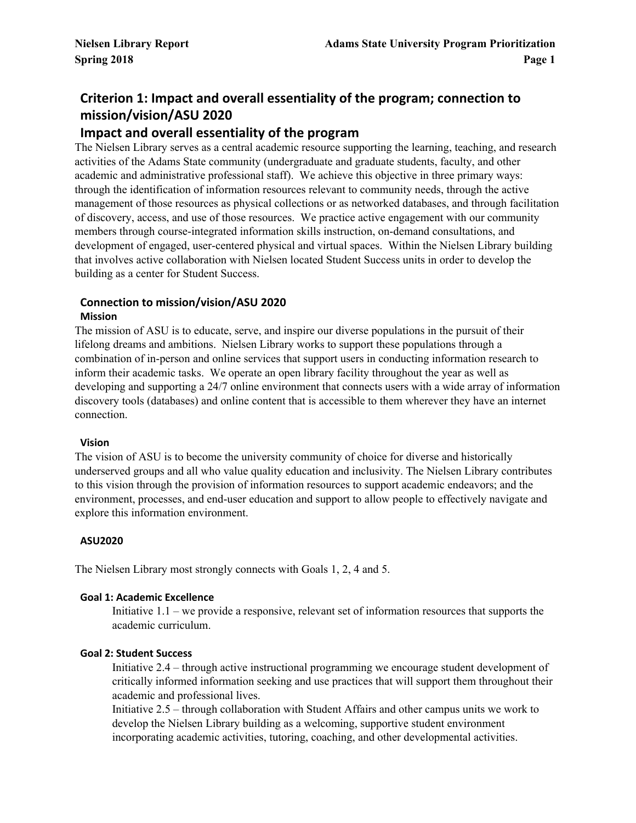# **Criterion 1: Impact and overall essentiality of the program; connection to mission/vision/ASU 2020**

# **Impact and overall essentiality of the program**

The Nielsen Library serves as a central academic resource supporting the learning, teaching, and research activities of the Adams State community (undergraduate and graduate students, faculty, and other academic and administrative professional staff). We achieve this objective in three primary ways: through the identification of information resources relevant to community needs, through the active management of those resources as physical collections or as networked databases, and through facilitation of discovery, access, and use of those resources. We practice active engagement with our community members through course-integrated information skills instruction, on-demand consultations, and development of engaged, user-centered physical and virtual spaces. Within the Nielsen Library building that involves active collaboration with Nielsen located Student Success units in order to develop the building as a center for Student Success.

#### **Connection to mission/vision/ASU 2020 Mission**

The mission of ASU is to educate, serve, and inspire our diverse populations in the pursuit of their lifelong dreams and ambitions. Nielsen Library works to support these populations through a combination of in-person and online services that support users in conducting information research to inform their academic tasks. We operate an open library facility throughout the year as well as developing and supporting a 24/7 online environment that connects users with a wide array of information discovery tools (databases) and online content that is accessible to them wherever they have an internet connection.

### **Vision**

The vision of ASU is to become the university community of choice for diverse and historically underserved groups and all who value quality education and inclusivity. The Nielsen Library contributes to this vision through the provision of information resources to support academic endeavors; and the environment, processes, and end-user education and support to allow people to effectively navigate and explore this information environment.

### **ASU2020**

The Nielsen Library most strongly connects with Goals 1, 2, 4 and 5.

### **Goal 1: Academic Excellence**

Initiative 1.1 – we provide a responsive, relevant set of information resources that supports the academic curriculum.

### **Goal 2: Student Success**

Initiative 2.4 – through active instructional programming we encourage student development of critically informed information seeking and use practices that will support them throughout their academic and professional lives.

Initiative 2.5 – through collaboration with Student Affairs and other campus units we work to develop the Nielsen Library building as a welcoming, supportive student environment incorporating academic activities, tutoring, coaching, and other developmental activities.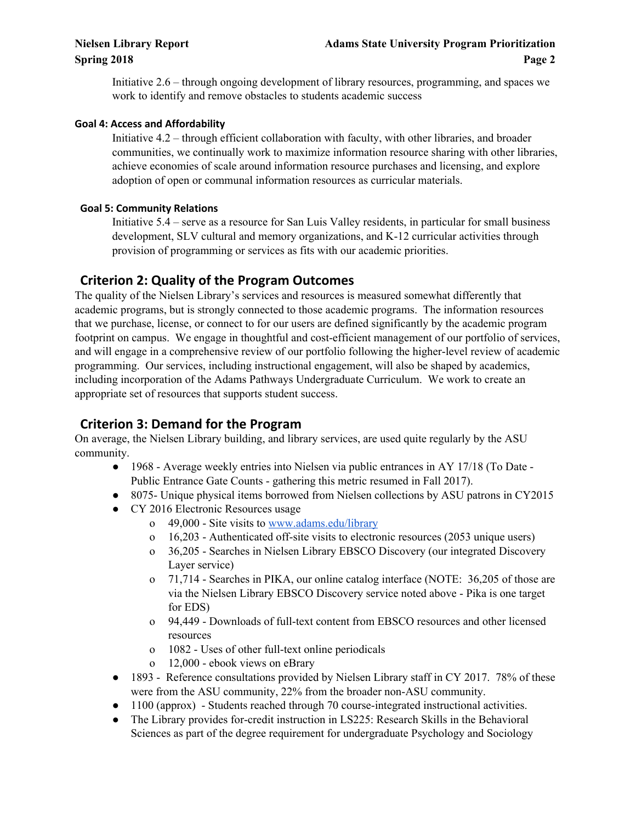Initiative 2.6 – through ongoing development of library resources, programming, and spaces we work to identify and remove obstacles to students academic success

## **Goal 4: Access and Affordability**

Initiative 4.2 – through efficient collaboration with faculty, with other libraries, and broader communities, we continually work to maximize information resource sharing with other libraries, achieve economies of scale around information resource purchases and licensing, and explore adoption of open or communal information resources as curricular materials.

## **Goal 5: Community Relations**

Initiative 5.4 – serve as a resource for San Luis Valley residents, in particular for small business development, SLV cultural and memory organizations, and K-12 curricular activities through provision of programming or services as fits with our academic priorities.

# **Criterion 2: Quality of the Program Outcomes**

The quality of the Nielsen Library's services and resources is measured somewhat differently that academic programs, but is strongly connected to those academic programs. The information resources that we purchase, license, or connect to for our users are defined significantly by the academic program footprint on campus. We engage in thoughtful and cost-efficient management of our portfolio of services, and will engage in a comprehensive review of our portfolio following the higher-level review of academic programming. Our services, including instructional engagement, will also be shaped by academics, including incorporation of the Adams Pathways Undergraduate Curriculum. We work to create an appropriate set of resources that supports student success.

# **Criterion 3: Demand for the Program**

On average, the Nielsen Library building, and library services, are used quite regularly by the ASU community.

- 1968 Average weekly entries into Nielsen via public entrances in AY 17/18 (To Date -Public Entrance Gate Counts - gathering this metric resumed in Fall 2017).
- 8075- Unique physical items borrowed from Nielsen collections by ASU patrons in CY2015
- CY 2016 Electronic Resources usage
	- o 49,000 Site visits to [www.adams.edu/library](http://www.adams.edu/library)
	- o 16,203 Authenticated off-site visits to electronic resources (2053 unique users)
	- o 36,205 Searches in Nielsen Library EBSCO Discovery (our integrated Discovery Layer service)
	- o 71,714 Searches in PIKA, our online catalog interface (NOTE: 36,205 of those are via the Nielsen Library EBSCO Discovery service noted above - Pika is one target for EDS)
	- o 94,449 Downloads of full-text content from EBSCO resources and other licensed resources
	- o 1082 Uses of other full-text online periodicals
	- o 12,000 ebook views on eBrary
- 1893 Reference consultations provided by Nielsen Library staff in CY 2017. 78% of these were from the ASU community, 22% from the broader non-ASU community.
- 1100 (approx) Students reached through 70 course-integrated instructional activities.
- The Library provides for-credit instruction in LS225: Research Skills in the Behavioral Sciences as part of the degree requirement for undergraduate Psychology and Sociology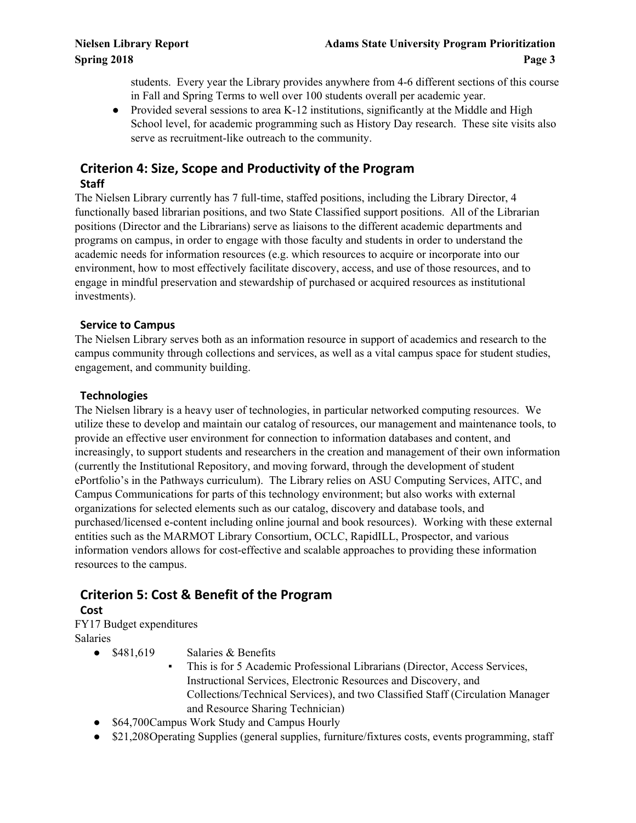students. Every year the Library provides anywhere from 4-6 different sections of this course in Fall and Spring Terms to well over 100 students overall per academic year.

• Provided several sessions to area K-12 institutions, significantly at the Middle and High School level, for academic programming such as History Day research. These site visits also serve as recruitment-like outreach to the community.

# **Criterion 4: Size, Scope and Productivity of the Program Staff**

The Nielsen Library currently has 7 full-time, staffed positions, including the Library Director, 4 functionally based librarian positions, and two State Classified support positions. All of the Librarian positions (Director and the Librarians) serve as liaisons to the different academic departments and programs on campus, in order to engage with those faculty and students in order to understand the academic needs for information resources (e.g. which resources to acquire or incorporate into our environment, how to most effectively facilitate discovery, access, and use of those resources, and to engage in mindful preservation and stewardship of purchased or acquired resources as institutional investments).

## **Service to Campus**

The Nielsen Library serves both as an information resource in support of academics and research to the campus community through collections and services, as well as a vital campus space for student studies, engagement, and community building.

## **Technologies**

The Nielsen library is a heavy user of technologies, in particular networked computing resources. We utilize these to develop and maintain our catalog of resources, our management and maintenance tools, to provide an effective user environment for connection to information databases and content, and increasingly, to support students and researchers in the creation and management of their own information (currently the Institutional Repository, and moving forward, through the development of student ePortfolio's in the Pathways curriculum). The Library relies on ASU Computing Services, AITC, and Campus Communications for parts of this technology environment; but also works with external organizations for selected elements such as our catalog, discovery and database tools, and purchased/licensed e-content including online journal and book resources). Working with these external entities such as the MARMOT Library Consortium, OCLC, RapidILL, Prospector, and various information vendors allows for cost-effective and scalable approaches to providing these information resources to the campus.

# **Criterion 5: Cost & Benefit of the Program**

## **Cost**

FY17 Budget expenditures Salaries

- \$481,619 Salaries & Benefits
	- This is for 5 Academic Professional Librarians (Director, Access Services, Instructional Services, Electronic Resources and Discovery, and Collections/Technical Services), and two Classified Staff (Circulation Manager and Resource Sharing Technician)
- \$64,700 Campus Work Study and Campus Hourly
- \$21,208 Operating Supplies (general supplies, furniture/fixtures costs, events programming, staff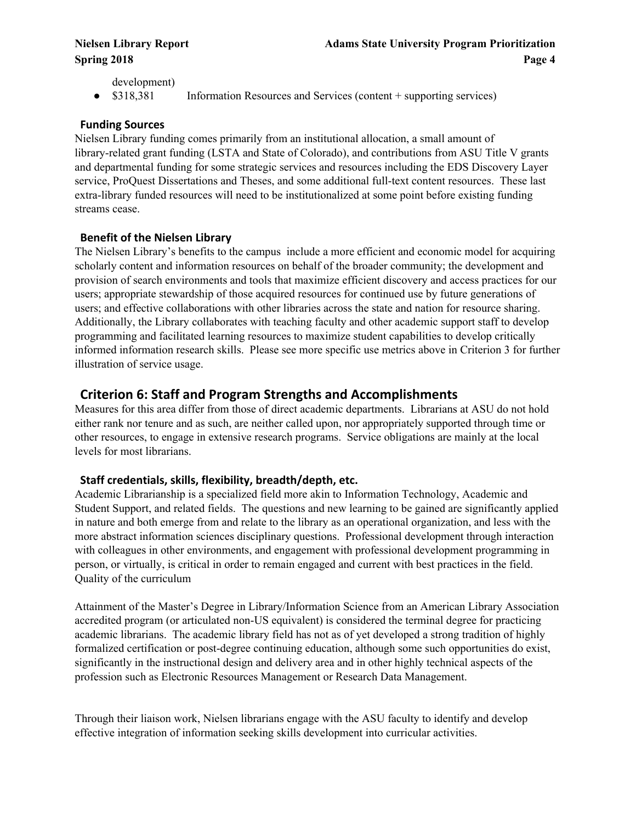development)

• \$318,381 Information Resources and Services (content + supporting services)

## **Funding Sources**

Nielsen Library funding comes primarily from an institutional allocation, a small amount of library-related grant funding (LSTA and State of Colorado), and contributions from ASU Title V grants and departmental funding for some strategic services and resources including the EDS Discovery Layer service, ProQuest Dissertations and Theses, and some additional full-text content resources. These last extra-library funded resources will need to be institutionalized at some point before existing funding streams cease.

## **Benefit of the Nielsen Library**

The Nielsen Library's benefits to the campus include a more efficient and economic model for acquiring scholarly content and information resources on behalf of the broader community; the development and provision of search environments and tools that maximize efficient discovery and access practices for our users; appropriate stewardship of those acquired resources for continued use by future generations of users; and effective collaborations with other libraries across the state and nation for resource sharing. Additionally, the Library collaborates with teaching faculty and other academic support staff to develop programming and facilitated learning resources to maximize student capabilities to develop critically informed information research skills. Please see more specific use metrics above in Criterion 3 for further illustration of service usage.

# **Criterion 6: Staff and Program Strengths and Accomplishments**

Measures for this area differ from those of direct academic departments. Librarians at ASU do not hold either rank nor tenure and as such, are neither called upon, nor appropriately supported through time or other resources, to engage in extensive research programs. Service obligations are mainly at the local levels for most librarians.

## **Staff credentials, skills, flexibility, breadth/depth, etc.**

Academic Librarianship is a specialized field more akin to Information Technology, Academic and Student Support, and related fields. The questions and new learning to be gained are significantly applied in nature and both emerge from and relate to the library as an operational organization, and less with the more abstract information sciences disciplinary questions. Professional development through interaction with colleagues in other environments, and engagement with professional development programming in person, or virtually, is critical in order to remain engaged and current with best practices in the field. Quality of the curriculum

Attainment of the Master's Degree in Library/Information Science from an American Library Association accredited program (or articulated non-US equivalent) is considered the terminal degree for practicing academic librarians. The academic library field has not as of yet developed a strong tradition of highly formalized certification or post-degree continuing education, although some such opportunities do exist, significantly in the instructional design and delivery area and in other highly technical aspects of the profession such as Electronic Resources Management or Research Data Management.

Through their liaison work, Nielsen librarians engage with the ASU faculty to identify and develop effective integration of information seeking skills development into curricular activities.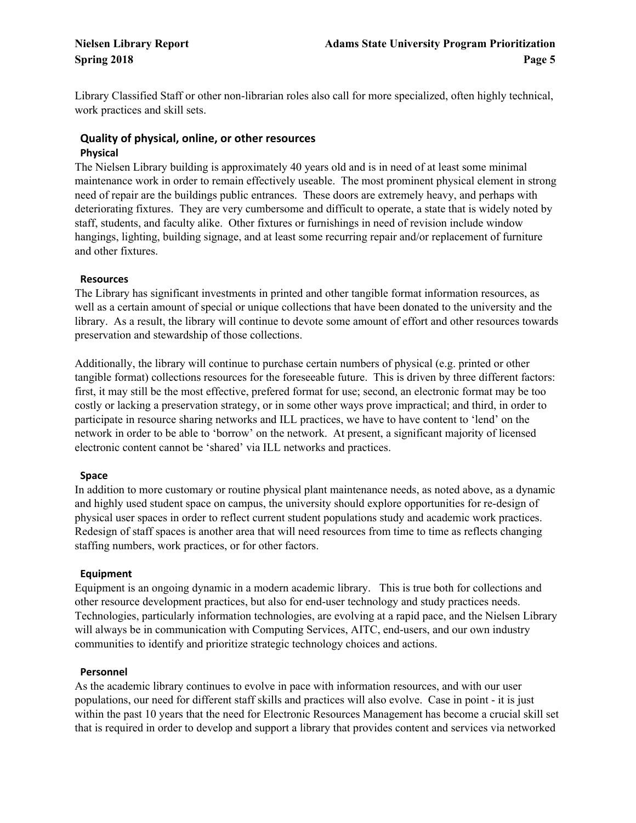Library Classified Staff or other non-librarian roles also call for more specialized, often highly technical, work practices and skill sets.

## **Quality of physical, online, or other resources Physical**

The Nielsen Library building is approximately 40 years old and is in need of at least some minimal maintenance work in order to remain effectively useable. The most prominent physical element in strong need of repair are the buildings public entrances. These doors are extremely heavy, and perhaps with deteriorating fixtures. They are very cumbersome and difficult to operate, a state that is widely noted by staff, students, and faculty alike. Other fixtures or furnishings in need of revision include window hangings, lighting, building signage, and at least some recurring repair and/or replacement of furniture and other fixtures.

## **Resources**

The Library has significant investments in printed and other tangible format information resources, as well as a certain amount of special or unique collections that have been donated to the university and the library. As a result, the library will continue to devote some amount of effort and other resources towards preservation and stewardship of those collections.

Additionally, the library will continue to purchase certain numbers of physical (e.g. printed or other tangible format) collections resources for the foreseeable future. This is driven by three different factors: first, it may still be the most effective, prefered format for use; second, an electronic format may be too costly or lacking a preservation strategy, or in some other ways prove impractical; and third, in order to participate in resource sharing networks and ILL practices, we have to have content to 'lend' on the network in order to be able to 'borrow' on the network. At present, a significant majority of licensed electronic content cannot be 'shared' via ILL networks and practices.

### **Space**

In addition to more customary or routine physical plant maintenance needs, as noted above, as a dynamic and highly used student space on campus, the university should explore opportunities for re-design of physical user spaces in order to reflect current student populations study and academic work practices. Redesign of staff spaces is another area that will need resources from time to time as reflects changing staffing numbers, work practices, or for other factors.

## **Equipment**

Equipment is an ongoing dynamic in a modern academic library. This is true both for collections and other resource development practices, but also for end-user technology and study practices needs. Technologies, particularly information technologies, are evolving at a rapid pace, and the Nielsen Library will always be in communication with Computing Services, AITC, end-users, and our own industry communities to identify and prioritize strategic technology choices and actions.

### **Personnel**

As the academic library continues to evolve in pace with information resources, and with our user populations, our need for different staff skills and practices will also evolve. Case in point - it is just within the past 10 years that the need for Electronic Resources Management has become a crucial skill set that is required in order to develop and support a library that provides content and services via networked